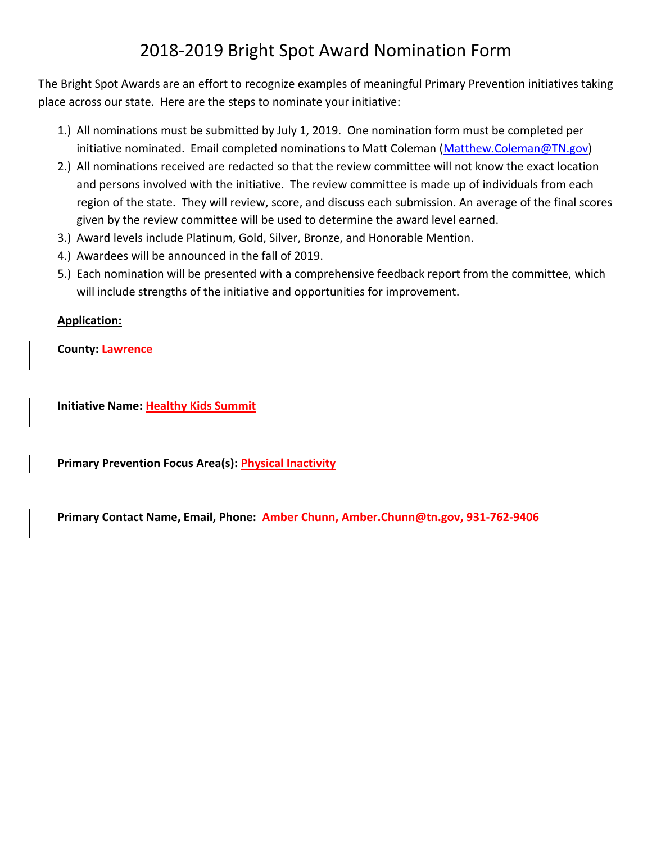## 2018-2019 Bright Spot Award Nomination Form

The Bright Spot Awards are an effort to recognize examples of meaningful Primary Prevention initiatives taking place across our state. Here are the steps to nominate your initiative:

- 1.) All nominations must be submitted by July 1, 2019. One nomination form must be completed per initiative nominated. Email completed nominations to Matt Coleman [\(Matthew.Coleman@TN.gov\)](mailto:Matthew.Coleman@TN.gov)
- 2.) All nominations received are redacted so that the review committee will not know the exact location and persons involved with the initiative. The review committee is made up of individuals from each region of the state. They will review, score, and discuss each submission. An average of the final scores given by the review committee will be used to determine the award level earned.
- 3.) Award levels include Platinum, Gold, Silver, Bronze, and Honorable Mention.
- 4.) Awardees will be announced in the fall of 2019.
- 5.) Each nomination will be presented with a comprehensive feedback report from the committee, which will include strengths of the initiative and opportunities for improvement.

## **Application:**

**County: Lawrence**

**Initiative Name: Healthy Kids Summit**

**Primary Prevention Focus Area(s): Physical Inactivity**

**Primary Contact Name, Email, Phone: Amber Chunn[, Amber.Chunn@tn.gov,](mailto:Amber.Chunn@tn.gov) 931-762-9406**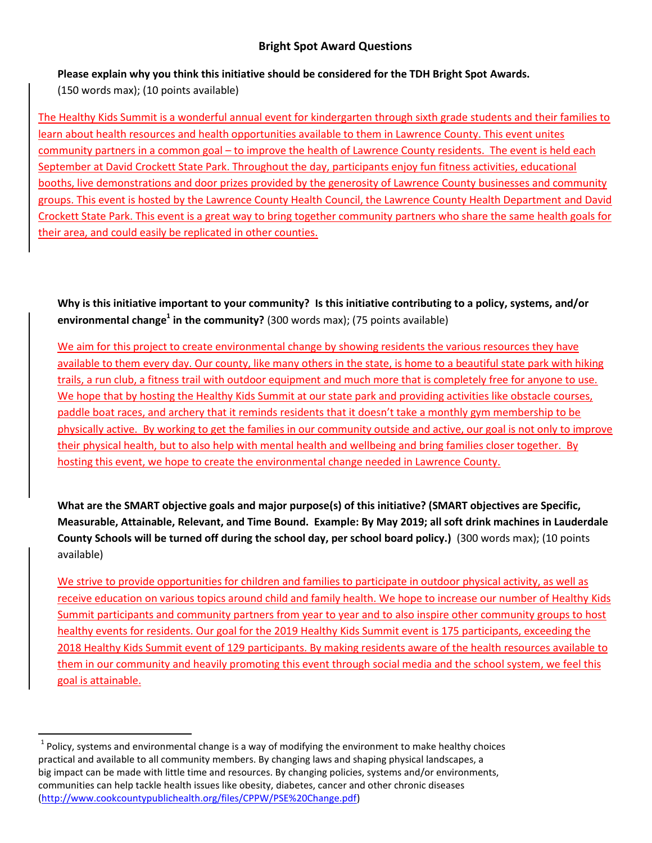## **Bright Spot Award Questions**

**Please explain why you think this initiative should be considered for the TDH Bright Spot Awards.**

(150 words max); (10 points available)

l

The Healthy Kids Summit is a wonderful annual event for kindergarten through sixth grade students and their families to learn about health resources and health opportunities available to them in Lawrence County. This event unites community partners in a common goal – to improve the health of Lawrence County residents. The event is held each September at David Crockett State Park. Throughout the day, participants enjoy fun fitness activities, educational booths, live demonstrations and door prizes provided by the generosity of Lawrence County businesses and community groups. This event is hosted by the Lawrence County Health Council, the Lawrence County Health Department and David Crockett State Park. This event is a great way to bring together community partners who share the same health goals for their area, and could easily be replicated in other counties.

**Why is this initiative important to your community? Is this initiative contributing to a policy, systems, and/or environmental change<sup>1</sup> in the community?** (300 words max); (75 points available)

We aim for this project to create environmental change by showing residents the various resources they have available to them every day. Our county, like many others in the state, is home to a beautiful state park with hiking trails, a run club, a fitness trail with outdoor equipment and much more that is completely free for anyone to use. We hope that by hosting the Healthy Kids Summit at our state park and providing activities like obstacle courses, paddle boat races, and archery that it reminds residents that it doesn't take a monthly gym membership to be physically active. By working to get the families in our community outside and active, our goal is not only to improve their physical health, but to also help with mental health and wellbeing and bring families closer together. By hosting this event, we hope to create the environmental change needed in Lawrence County.

**What are the SMART objective goals and major purpose(s) of this initiative? (SMART objectives are Specific, Measurable, Attainable, Relevant, and Time Bound. Example: By May 2019; all soft drink machines in Lauderdale County Schools will be turned off during the school day, per school board policy.)** (300 words max); (10 points available)

We strive to provide opportunities for children and families to participate in outdoor physical activity, as well as receive education on various topics around child and family health. We hope to increase our number of Healthy Kids Summit participants and community partners from year to year and to also inspire other community groups to host healthy events for residents. Our goal for the 2019 Healthy Kids Summit event is 175 participants, exceeding the 2018 Healthy Kids Summit event of 129 participants. By making residents aware of the health resources available to them in our community and heavily promoting this event through social media and the school system, we feel this goal is attainable.

 $^{1}$  Policy, systems and environmental change is a way of modifying the environment to make healthy choices practical and available to all community members. By changing laws and shaping physical landscapes, a big impact can be made with little time and resources. By changing policies, systems and/or environments, communities can help tackle health issues like obesity, diabetes, cancer and other chronic diseases [\(http://www.cookcountypublichealth.org/files/CPPW/PSE%20Change.pdf\)](http://www.cookcountypublichealth.org/files/CPPW/PSE%20Change.pdf)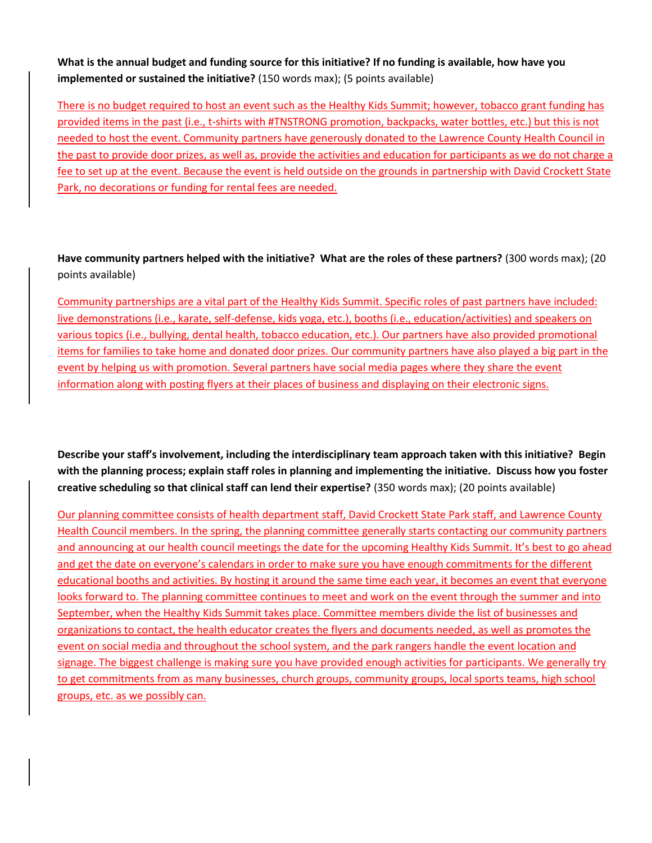**What is the annual budget and funding source for this initiative? If no funding is available, how have you implemented or sustained the initiative?** (150 words max); (5 points available)

There is no budget required to host an event such as the Healthy Kids Summit; however, tobacco grant funding has provided items in the past (i.e., t-shirts with #TNSTRONG promotion, backpacks, water bottles, etc.) but this is not needed to host the event. Community partners have generously donated to the Lawrence County Health Council in the past to provide door prizes, as well as, provide the activities and education for participants as we do not charge a fee to set up at the event. Because the event is held outside on the grounds in partnership with David Crockett State Park, no decorations or funding for rental fees are needed.

**Have community partners helped with the initiative? What are the roles of these partners?** (300 words max); (20 points available)

Community partnerships are a vital part of the Healthy Kids Summit. Specific roles of past partners have included: live demonstrations (i.e., karate, self-defense, kids yoga, etc.), booths (i.e., education/activities) and speakers on various topics (i.e., bullying, dental health, tobacco education, etc.). Our partners have also provided promotional items for families to take home and donated door prizes. Our community partners have also played a big part in the event by helping us with promotion. Several partners have social media pages where they share the event information along with posting flyers at their places of business and displaying on their electronic signs.

**Describe your staff's involvement, including the interdisciplinary team approach taken with this initiative? Begin with the planning process; explain staff roles in planning and implementing the initiative. Discuss how you foster creative scheduling so that clinical staff can lend their expertise?** (350 words max); (20 points available)

Our planning committee consists of health department staff, David Crockett State Park staff, and Lawrence County Health Council members. In the spring, the planning committee generally starts contacting our community partners and announcing at our health council meetings the date for the upcoming Healthy Kids Summit. It's best to go ahead and get the date on everyone's calendars in order to make sure you have enough commitments for the different educational booths and activities. By hosting it around the same time each year, it becomes an event that everyone looks forward to. The planning committee continues to meet and work on the event through the summer and into September, when the Healthy Kids Summit takes place. Committee members divide the list of businesses and organizations to contact, the health educator creates the flyers and documents needed, as well as promotes the event on social media and throughout the school system, and the park rangers handle the event location and signage. The biggest challenge is making sure you have provided enough activities for participants. We generally try to get commitments from as many businesses, church groups, community groups, local sports teams, high school groups, etc. as we possibly can.